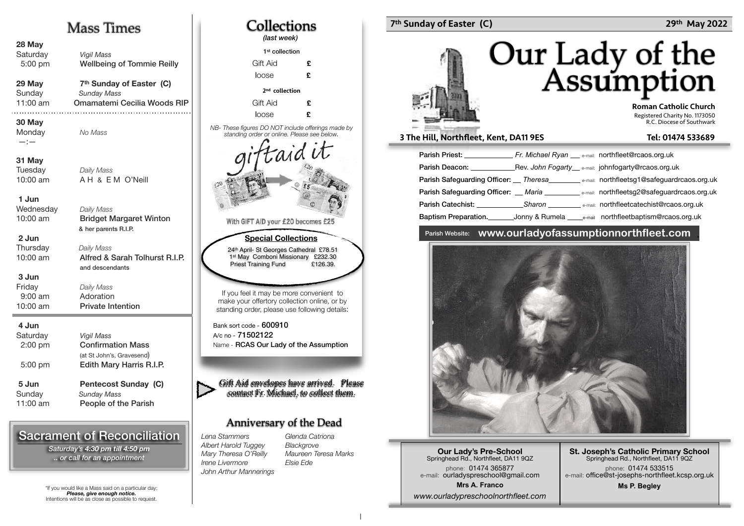## Mass Times

| 28 May<br>Saturday<br>5:00 pm              | <b>Vigil Mass</b><br><b>Wellbeing of Tommie Reilly</b>                                    |
|--------------------------------------------|-------------------------------------------------------------------------------------------|
| 29 May<br>Sunday<br>11:00 am               | 7 <sup>th</sup> Sunday of Easter (C)<br><b>Sunday Mass</b><br>Omamatemi Cecilia Woods RIP |
| 30 May<br>Monday<br>$-:-$                  | No Mass                                                                                   |
| 31 May<br>Tuesday<br>$10:00$ am            | Daily Mass<br>AH & EM O'Neill                                                             |
| 1 Jun<br>Wednesday<br>10:00 am             | Daily Mass<br><b>Bridget Margaret Winton</b><br>& her parents R.I.P.                      |
| 2 Jun<br>Thursday<br>10:00 am              | Daily Mass<br>Alfred & Sarah Tolhurst R.I.P.<br>and descendants                           |
| 3 Jun<br>Friday<br>$9:00$ am<br>$10:00$ am | Daily Mass<br>Adoration<br><b>Private Intention</b>                                       |
| 4 Jun<br>Saturday<br>$2:00$ pm             | <b>Vigil Mass</b><br><b>Confirmation Mass</b>                                             |

(at St John's, Gravesend)  $5:00$  pm Edith Mary Harris R.I.P. 5 Jun **Pentecost Sunday (C)** Sunday **Sunday Mass** 11:00 am People of the Parish

## Sacrament of Reconciliation

*Saturday's 4:30 pm till 4:50 pm .. or call for an appointment*

\*If you would like a Mass said on a particular day; *Please, give enough notice.* Intentions will be as close as possible to request.



### 7th Sunday of Easter (C) 29th May 2022

# Our Lady of the<br>Assumption

 Roman Catholic Church Registered Charity No. 1173050 R.C. Diocese of Southwark

#### 3 The Hill, Northfleet, Kent, DA11 9ES Tel: 01474 533689

| Parish Priest: New York 1997<br>Fr. Michael Ryan <sub>e-mail:</sub> northfleet@rcaos.org.uk                                                                                                                                                                                          |
|--------------------------------------------------------------------------------------------------------------------------------------------------------------------------------------------------------------------------------------------------------------------------------------|
| Parish Deacon: The Contract of the Contract of the Contract of the Contract of the Contract of the Contract of the Contract of the Contract of the Contract of the Contract of the Contract of the Contract of the Contract of<br>Rev. John Fogarty e-mail: johnfogarty@rcaos.org.uk |
| Parish Safeguarding Officer: __ Theresa____________ e-mail: northfleetsg1@safeguardrcaos.org.uk                                                                                                                                                                                      |
| Parish Safeguarding Officer: __ Maria ___________ e-mail: northfleetsg2@safeguardrcaos.org.uk                                                                                                                                                                                        |
| <b>Parish Catechist:</b> Sharon <b>Example 2016</b> and the email: northfleetcatechist@rcaos.org.uk                                                                                                                                                                                  |
| Baptism Preparation.<br>Jonny & Rumela ______e-mail northfleetbaptism@rcaos.org.uk                                                                                                                                                                                                   |

#### Parish Website: **www.ourladyofassumptionnorthfleet.com** .



**Our Lady's Pre-School**  Springhead Rd., Northfleet, DA11 9QZ phone: 01474 365877 e-mail: ourladyspreschool@gmail.com **Mrs A. Franco** *www.ourladypreschoolnorthfleet.com*

**St. Joseph's Catholic Primary School** Springhead Rd., Northfleet, DA11 9QZ phone: 01474 533515 e-mail: office@st-josephs-northfleet.kcsp.org.uk

**Ms P. Begley**